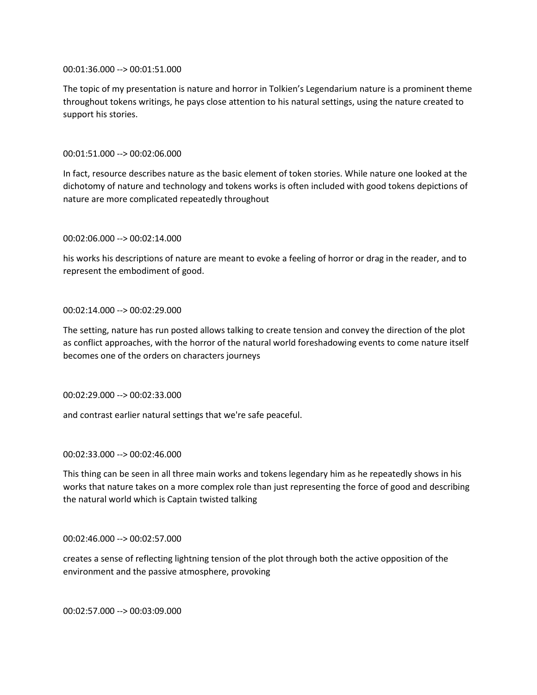00:01:36.000 --> 00:01:51.000

The topic of my presentation is nature and horror in Tolkien's Legendarium nature is a prominent theme throughout tokens writings, he pays close attention to his natural settings, using the nature created to support his stories.

## 00:01:51.000 --> 00:02:06.000

In fact, resource describes nature as the basic element of token stories. While nature one looked at the dichotomy of nature and technology and tokens works is often included with good tokens depictions of nature are more complicated repeatedly throughout

### 00:02:06.000 --> 00:02:14.000

his works his descriptions of nature are meant to evoke a feeling of horror or drag in the reader, and to represent the embodiment of good.

## 00:02:14.000 --> 00:02:29.000

The setting, nature has run posted allows talking to create tension and convey the direction of the plot as conflict approaches, with the horror of the natural world foreshadowing events to come nature itself becomes one of the orders on characters journeys

00:02:29.000 --> 00:02:33.000

and contrast earlier natural settings that we're safe peaceful.

### 00:02:33.000 --> 00:02:46.000

This thing can be seen in all three main works and tokens legendary him as he repeatedly shows in his works that nature takes on a more complex role than just representing the force of good and describing the natural world which is Captain twisted talking

### 00:02:46.000 --> 00:02:57.000

creates a sense of reflecting lightning tension of the plot through both the active opposition of the environment and the passive atmosphere, provoking

00:02:57.000 --> 00:03:09.000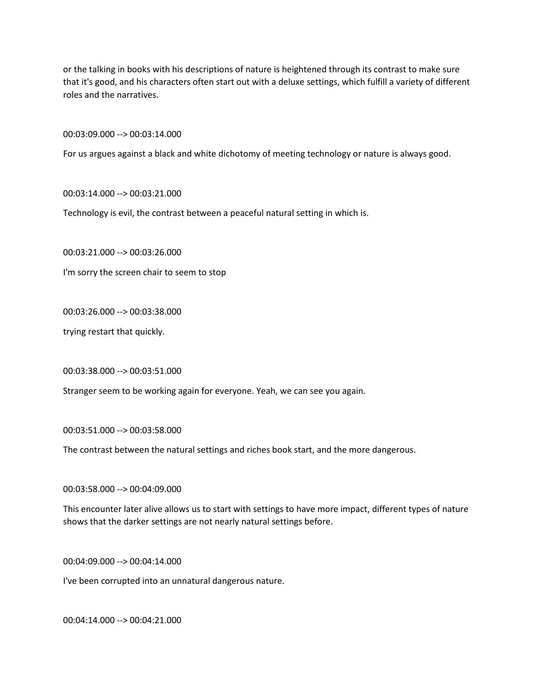or the talking in books with his descriptions of nature is heightened through its contrast to make sure that it's good, and his characters often start out with a deluxe settings, which fulfill a variety of different roles and the narratives.

00:03:09.000 --> 00:03:14.000

For us argues against a black and white dichotomy of meeting technology or nature is always good.

00:03:14.000 --> 00:03:21.000

Technology is evil, the contrast between a peaceful natural setting in which is.

00:03:21.000 --> 00:03:26.000

I'm sorry the screen chair to seem to stop

00:03:26.000 --> 00:03:38.000

trying restart that quickly.

00:03:38.000 --> 00:03:51.000

Stranger seem to be working again for everyone. Yeah, we can see you again.

00:03:51.000 --> 00:03:58.000

The contrast between the natural settings and riches book start, and the more dangerous.

00:03:58.000 --> 00:04:09.000

This encounter later alive allows us to start with settings to have more impact, different types of nature shows that the darker settings are not nearly natural settings before.

00:04:09.000 --> 00:04:14.000

I've been corrupted into an unnatural dangerous nature.

00:04:14.000 --> 00:04:21.000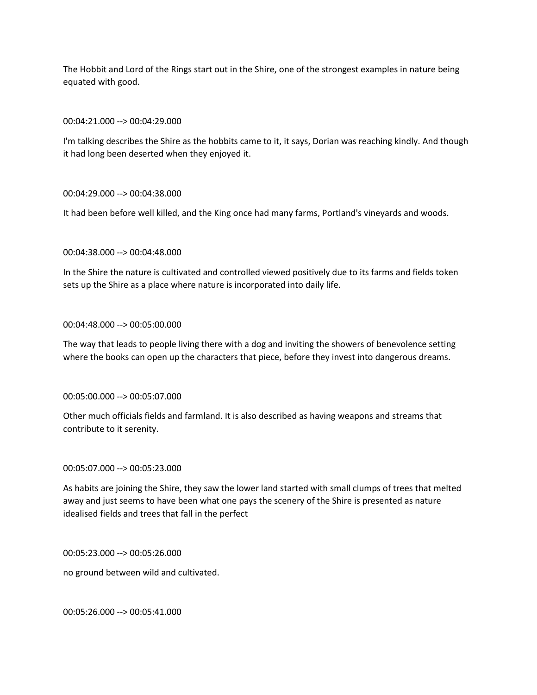The Hobbit and Lord of the Rings start out in the Shire, one of the strongest examples in nature being equated with good.

00:04:21.000 --> 00:04:29.000

I'm talking describes the Shire as the hobbits came to it, it says, Dorian was reaching kindly. And though it had long been deserted when they enjoyed it.

## 00:04:29.000 --> 00:04:38.000

It had been before well killed, and the King once had many farms, Portland's vineyards and woods.

## 00:04:38.000 --> 00:04:48.000

In the Shire the nature is cultivated and controlled viewed positively due to its farms and fields token sets up the Shire as a place where nature is incorporated into daily life.

### 00:04:48.000 --> 00:05:00.000

The way that leads to people living there with a dog and inviting the showers of benevolence setting where the books can open up the characters that piece, before they invest into dangerous dreams.

00:05:00.000 --> 00:05:07.000

Other much officials fields and farmland. It is also described as having weapons and streams that contribute to it serenity.

### 00:05:07.000 --> 00:05:23.000

As habits are joining the Shire, they saw the lower land started with small clumps of trees that melted away and just seems to have been what one pays the scenery of the Shire is presented as nature idealised fields and trees that fall in the perfect

00:05:23.000 --> 00:05:26.000

no ground between wild and cultivated.

00:05:26.000 --> 00:05:41.000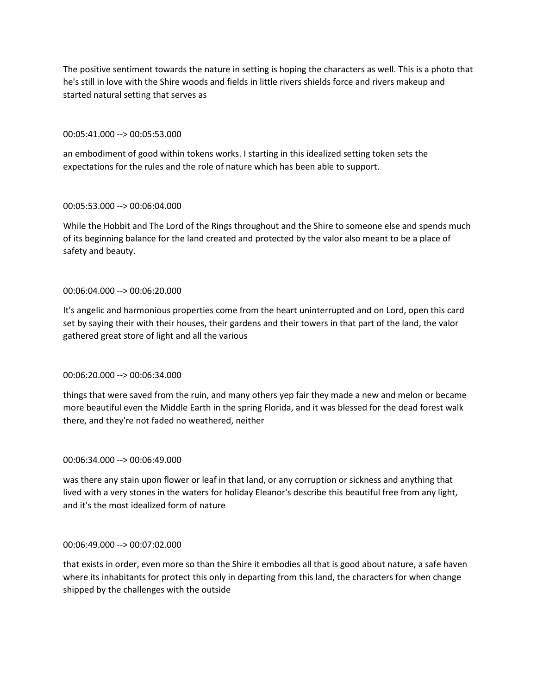The positive sentiment towards the nature in setting is hoping the characters as well. This is a photo that he's still in love with the Shire woods and fields in little rivers shields force and rivers makeup and started natural setting that serves as

## 00:05:41.000 --> 00:05:53.000

an embodiment of good within tokens works. I starting in this idealized setting token sets the expectations for the rules and the role of nature which has been able to support.

## 00:05:53.000 --> 00:06:04.000

While the Hobbit and The Lord of the Rings throughout and the Shire to someone else and spends much of its beginning balance for the land created and protected by the valor also meant to be a place of safety and beauty.

# 00:06:04.000 --> 00:06:20.000

It's angelic and harmonious properties come from the heart uninterrupted and on Lord, open this card set by saying their with their houses, their gardens and their towers in that part of the land, the valor gathered great store of light and all the various

# 00:06:20.000 --> 00:06:34.000

things that were saved from the ruin, and many others yep fair they made a new and melon or became more beautiful even the Middle Earth in the spring Florida, and it was blessed for the dead forest walk there, and they're not faded no weathered, neither

### 00:06:34.000 --> 00:06:49.000

was there any stain upon flower or leaf in that land, or any corruption or sickness and anything that lived with a very stones in the waters for holiday Eleanor's describe this beautiful free from any light, and it's the most idealized form of nature

### 00:06:49.000 --> 00:07:02.000

that exists in order, even more so than the Shire it embodies all that is good about nature, a safe haven where its inhabitants for protect this only in departing from this land, the characters for when change shipped by the challenges with the outside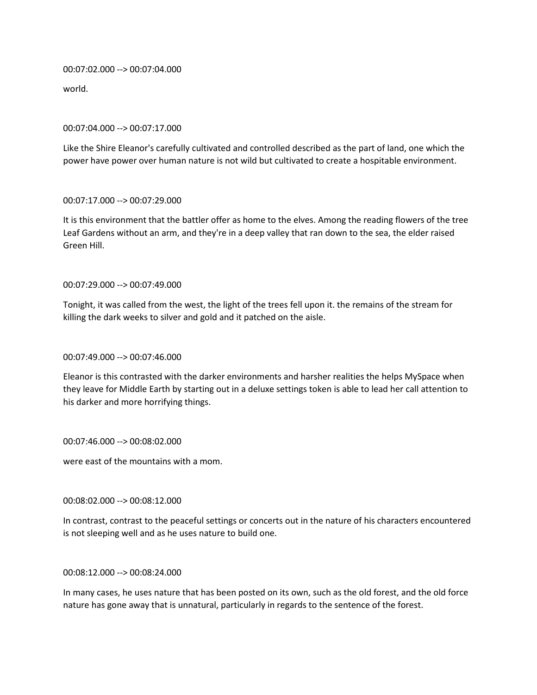00:07:02.000 --> 00:07:04.000

world.

### 00:07:04.000 --> 00:07:17.000

Like the Shire Eleanor's carefully cultivated and controlled described as the part of land, one which the power have power over human nature is not wild but cultivated to create a hospitable environment.

## 00:07:17.000 --> 00:07:29.000

It is this environment that the battler offer as home to the elves. Among the reading flowers of the tree Leaf Gardens without an arm, and they're in a deep valley that ran down to the sea, the elder raised Green Hill.

## 00:07:29.000 --> 00:07:49.000

Tonight, it was called from the west, the light of the trees fell upon it. the remains of the stream for killing the dark weeks to silver and gold and it patched on the aisle.

# 00:07:49.000 --> 00:07:46.000

Eleanor is this contrasted with the darker environments and harsher realities the helps MySpace when they leave for Middle Earth by starting out in a deluxe settings token is able to lead her call attention to his darker and more horrifying things.

00:07:46.000 --> 00:08:02.000

were east of the mountains with a mom.

00:08:02.000 --> 00:08:12.000

In contrast, contrast to the peaceful settings or concerts out in the nature of his characters encountered is not sleeping well and as he uses nature to build one.

### 00:08:12.000 --> 00:08:24.000

In many cases, he uses nature that has been posted on its own, such as the old forest, and the old force nature has gone away that is unnatural, particularly in regards to the sentence of the forest.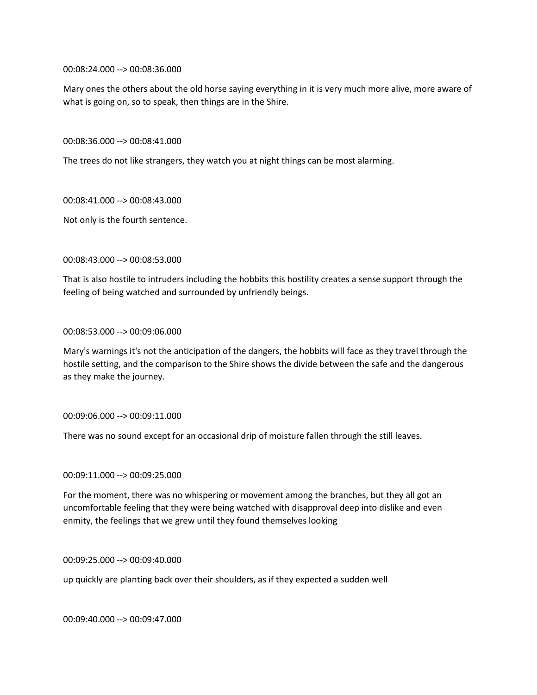00:08:24.000 --> 00:08:36.000

Mary ones the others about the old horse saying everything in it is very much more alive, more aware of what is going on, so to speak, then things are in the Shire.

00:08:36.000 --> 00:08:41.000

The trees do not like strangers, they watch you at night things can be most alarming.

00:08:41.000 --> 00:08:43.000

Not only is the fourth sentence.

00:08:43.000 --> 00:08:53.000

That is also hostile to intruders including the hobbits this hostility creates a sense support through the feeling of being watched and surrounded by unfriendly beings.

00:08:53.000 --> 00:09:06.000

Mary's warnings it's not the anticipation of the dangers, the hobbits will face as they travel through the hostile setting, and the comparison to the Shire shows the divide between the safe and the dangerous as they make the journey.

00:09:06.000 --> 00:09:11.000

There was no sound except for an occasional drip of moisture fallen through the still leaves.

00:09:11.000 --> 00:09:25.000

For the moment, there was no whispering or movement among the branches, but they all got an uncomfortable feeling that they were being watched with disapproval deep into dislike and even enmity, the feelings that we grew until they found themselves looking

00:09:25.000 --> 00:09:40.000

up quickly are planting back over their shoulders, as if they expected a sudden well

00:09:40.000 --> 00:09:47.000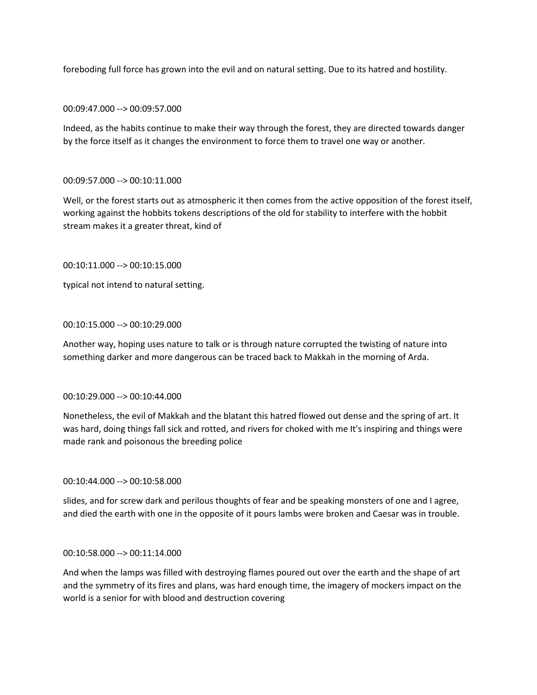foreboding full force has grown into the evil and on natural setting. Due to its hatred and hostility.

00:09:47.000 --> 00:09:57.000

Indeed, as the habits continue to make their way through the forest, they are directed towards danger by the force itself as it changes the environment to force them to travel one way or another.

# 00:09:57.000 --> 00:10:11.000

Well, or the forest starts out as atmospheric it then comes from the active opposition of the forest itself, working against the hobbits tokens descriptions of the old for stability to interfere with the hobbit stream makes it a greater threat, kind of

# 00:10:11.000 --> 00:10:15.000

typical not intend to natural setting.

## 00:10:15.000 --> 00:10:29.000

Another way, hoping uses nature to talk or is through nature corrupted the twisting of nature into something darker and more dangerous can be traced back to Makkah in the morning of Arda.

### 00:10:29.000 --> 00:10:44.000

Nonetheless, the evil of Makkah and the blatant this hatred flowed out dense and the spring of art. It was hard, doing things fall sick and rotted, and rivers for choked with me It's inspiring and things were made rank and poisonous the breeding police

### 00:10:44.000 --> 00:10:58.000

slides, and for screw dark and perilous thoughts of fear and be speaking monsters of one and I agree, and died the earth with one in the opposite of it pours lambs were broken and Caesar was in trouble.

### 00:10:58.000 --> 00:11:14.000

And when the lamps was filled with destroying flames poured out over the earth and the shape of art and the symmetry of its fires and plans, was hard enough time, the imagery of mockers impact on the world is a senior for with blood and destruction covering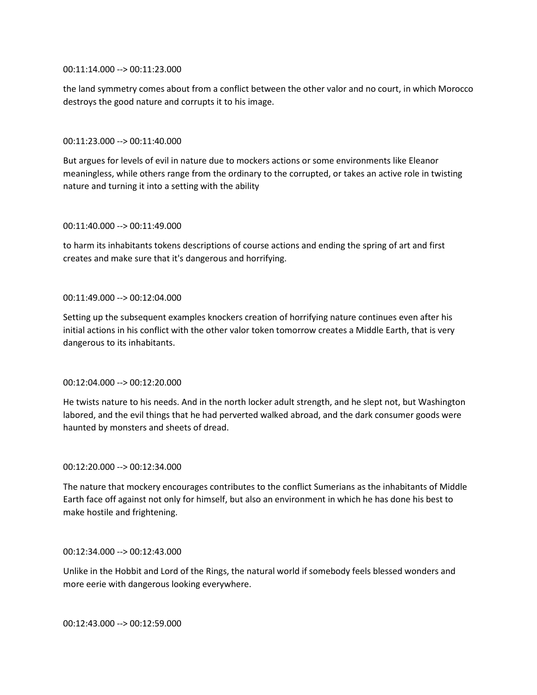### 00:11:14.000 --> 00:11:23.000

the land symmetry comes about from a conflict between the other valor and no court, in which Morocco destroys the good nature and corrupts it to his image.

### 00:11:23.000 --> 00:11:40.000

But argues for levels of evil in nature due to mockers actions or some environments like Eleanor meaningless, while others range from the ordinary to the corrupted, or takes an active role in twisting nature and turning it into a setting with the ability

#### 00:11:40.000 --> 00:11:49.000

to harm its inhabitants tokens descriptions of course actions and ending the spring of art and first creates and make sure that it's dangerous and horrifying.

### 00:11:49.000 --> 00:12:04.000

Setting up the subsequent examples knockers creation of horrifying nature continues even after his initial actions in his conflict with the other valor token tomorrow creates a Middle Earth, that is very dangerous to its inhabitants.

### 00:12:04.000 --> 00:12:20.000

He twists nature to his needs. And in the north locker adult strength, and he slept not, but Washington labored, and the evil things that he had perverted walked abroad, and the dark consumer goods were haunted by monsters and sheets of dread.

#### 00:12:20.000 --> 00:12:34.000

The nature that mockery encourages contributes to the conflict Sumerians as the inhabitants of Middle Earth face off against not only for himself, but also an environment in which he has done his best to make hostile and frightening.

#### 00:12:34.000 --> 00:12:43.000

Unlike in the Hobbit and Lord of the Rings, the natural world if somebody feels blessed wonders and more eerie with dangerous looking everywhere.

00:12:43.000 --> 00:12:59.000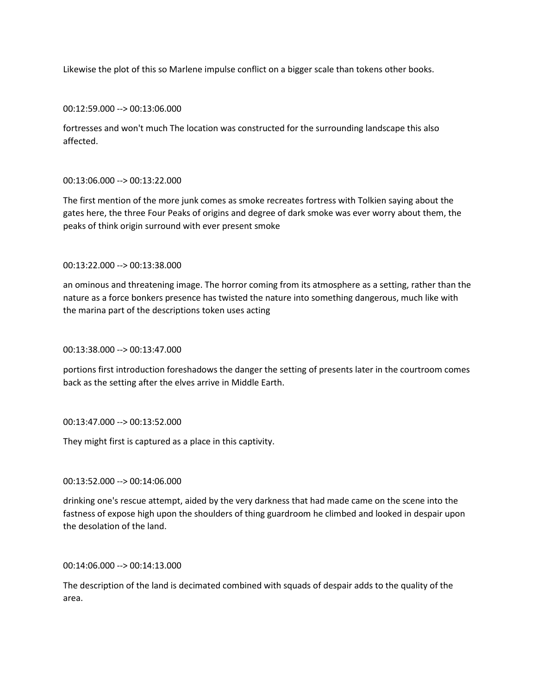Likewise the plot of this so Marlene impulse conflict on a bigger scale than tokens other books.

00:12:59.000 --> 00:13:06.000

fortresses and won't much The location was constructed for the surrounding landscape this also affected.

### 00:13:06.000 --> 00:13:22.000

The first mention of the more junk comes as smoke recreates fortress with Tolkien saying about the gates here, the three Four Peaks of origins and degree of dark smoke was ever worry about them, the peaks of think origin surround with ever present smoke

## 00:13:22.000 --> 00:13:38.000

an ominous and threatening image. The horror coming from its atmosphere as a setting, rather than the nature as a force bonkers presence has twisted the nature into something dangerous, much like with the marina part of the descriptions token uses acting

### 00:13:38.000 --> 00:13:47.000

portions first introduction foreshadows the danger the setting of presents later in the courtroom comes back as the setting after the elves arrive in Middle Earth.

### 00:13:47.000 --> 00:13:52.000

They might first is captured as a place in this captivity.

00:13:52.000 --> 00:14:06.000

drinking one's rescue attempt, aided by the very darkness that had made came on the scene into the fastness of expose high upon the shoulders of thing guardroom he climbed and looked in despair upon the desolation of the land.

### 00:14:06.000 --> 00:14:13.000

The description of the land is decimated combined with squads of despair adds to the quality of the area.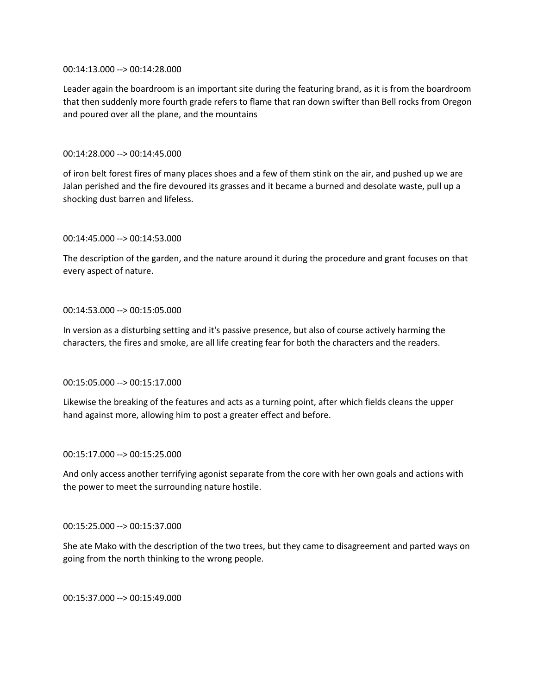### 00:14:13.000 --> 00:14:28.000

Leader again the boardroom is an important site during the featuring brand, as it is from the boardroom that then suddenly more fourth grade refers to flame that ran down swifter than Bell rocks from Oregon and poured over all the plane, and the mountains

# 00:14:28.000 --> 00:14:45.000

of iron belt forest fires of many places shoes and a few of them stink on the air, and pushed up we are Jalan perished and the fire devoured its grasses and it became a burned and desolate waste, pull up a shocking dust barren and lifeless.

# 00:14:45.000 --> 00:14:53.000

The description of the garden, and the nature around it during the procedure and grant focuses on that every aspect of nature.

# 00:14:53.000 --> 00:15:05.000

In version as a disturbing setting and it's passive presence, but also of course actively harming the characters, the fires and smoke, are all life creating fear for both the characters and the readers.

# 00:15:05.000 --> 00:15:17.000

Likewise the breaking of the features and acts as a turning point, after which fields cleans the upper hand against more, allowing him to post a greater effect and before.

# 00:15:17.000 --> 00:15:25.000

And only access another terrifying agonist separate from the core with her own goals and actions with the power to meet the surrounding nature hostile.

# 00:15:25.000 --> 00:15:37.000

She ate Mako with the description of the two trees, but they came to disagreement and parted ways on going from the north thinking to the wrong people.

00:15:37.000 --> 00:15:49.000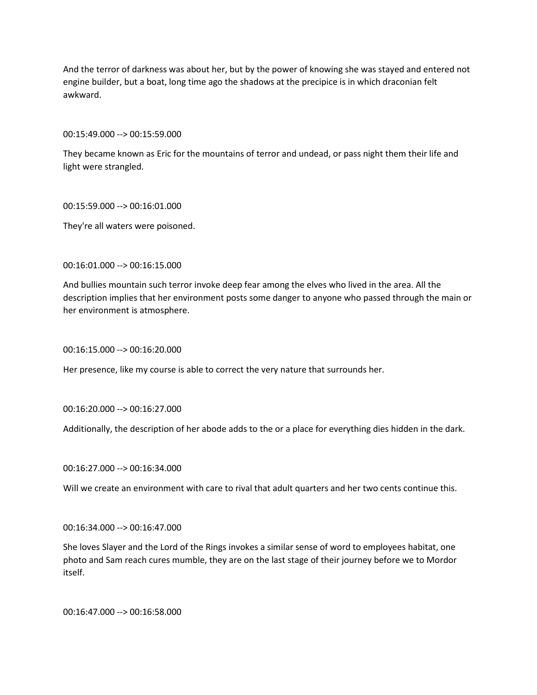And the terror of darkness was about her, but by the power of knowing she was stayed and entered not engine builder, but a boat, long time ago the shadows at the precipice is in which draconian felt awkward.

00:15:49.000 --> 00:15:59.000

They became known as Eric for the mountains of terror and undead, or pass night them their life and light were strangled.

00:15:59.000 --> 00:16:01.000

They're all waters were poisoned.

00:16:01.000 --> 00:16:15.000

And bullies mountain such terror invoke deep fear among the elves who lived in the area. All the description implies that her environment posts some danger to anyone who passed through the main or her environment is atmosphere.

00:16:15.000 --> 00:16:20.000

Her presence, like my course is able to correct the very nature that surrounds her.

00:16:20.000 --> 00:16:27.000

Additionally, the description of her abode adds to the or a place for everything dies hidden in the dark.

00:16:27.000 --> 00:16:34.000

Will we create an environment with care to rival that adult quarters and her two cents continue this.

00:16:34.000 --> 00:16:47.000

She loves Slayer and the Lord of the Rings invokes a similar sense of word to employees habitat, one photo and Sam reach cures mumble, they are on the last stage of their journey before we to Mordor itself.

00:16:47.000 --> 00:16:58.000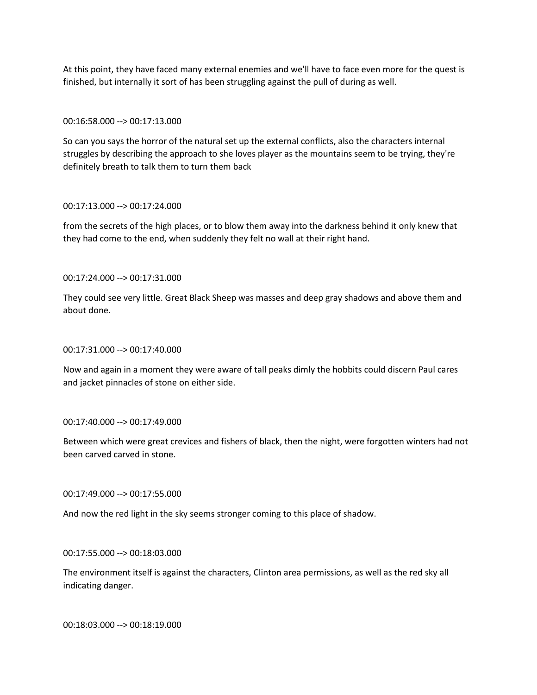At this point, they have faced many external enemies and we'll have to face even more for the quest is finished, but internally it sort of has been struggling against the pull of during as well.

## 00:16:58.000 --> 00:17:13.000

So can you says the horror of the natural set up the external conflicts, also the characters internal struggles by describing the approach to she loves player as the mountains seem to be trying, they're definitely breath to talk them to turn them back

### 00:17:13.000 --> 00:17:24.000

from the secrets of the high places, or to blow them away into the darkness behind it only knew that they had come to the end, when suddenly they felt no wall at their right hand.

00:17:24.000 --> 00:17:31.000

They could see very little. Great Black Sheep was masses and deep gray shadows and above them and about done.

### 00:17:31.000 --> 00:17:40.000

Now and again in a moment they were aware of tall peaks dimly the hobbits could discern Paul cares and jacket pinnacles of stone on either side.

# 00:17:40.000 --> 00:17:49.000

Between which were great crevices and fishers of black, then the night, were forgotten winters had not been carved carved in stone.

### 00:17:49.000 --> 00:17:55.000

And now the red light in the sky seems stronger coming to this place of shadow.

00:17:55.000 --> 00:18:03.000

The environment itself is against the characters, Clinton area permissions, as well as the red sky all indicating danger.

00:18:03.000 --> 00:18:19.000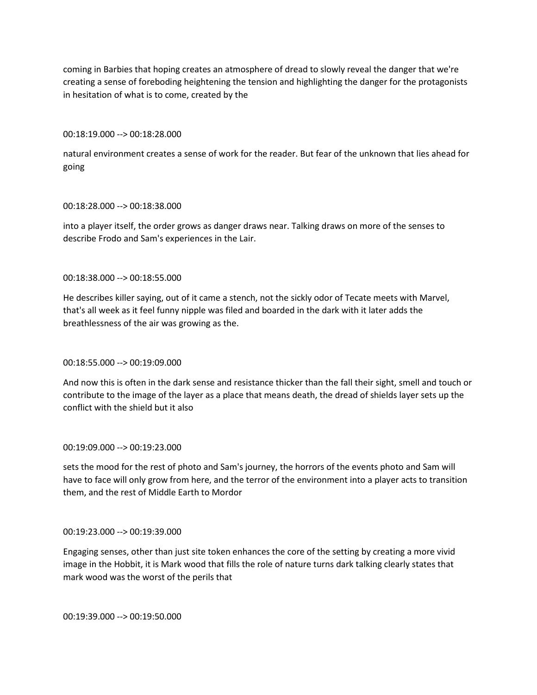coming in Barbies that hoping creates an atmosphere of dread to slowly reveal the danger that we're creating a sense of foreboding heightening the tension and highlighting the danger for the protagonists in hesitation of what is to come, created by the

#### 00:18:19.000 --> 00:18:28.000

natural environment creates a sense of work for the reader. But fear of the unknown that lies ahead for going

#### 00:18:28.000 --> 00:18:38.000

into a player itself, the order grows as danger draws near. Talking draws on more of the senses to describe Frodo and Sam's experiences in the Lair.

### 00:18:38.000 --> 00:18:55.000

He describes killer saying, out of it came a stench, not the sickly odor of Tecate meets with Marvel, that's all week as it feel funny nipple was filed and boarded in the dark with it later adds the breathlessness of the air was growing as the.

### 00:18:55.000 --> 00:19:09.000

And now this is often in the dark sense and resistance thicker than the fall their sight, smell and touch or contribute to the image of the layer as a place that means death, the dread of shields layer sets up the conflict with the shield but it also

### 00:19:09.000 --> 00:19:23.000

sets the mood for the rest of photo and Sam's journey, the horrors of the events photo and Sam will have to face will only grow from here, and the terror of the environment into a player acts to transition them, and the rest of Middle Earth to Mordor

### 00:19:23.000 --> 00:19:39.000

Engaging senses, other than just site token enhances the core of the setting by creating a more vivid image in the Hobbit, it is Mark wood that fills the role of nature turns dark talking clearly states that mark wood was the worst of the perils that

00:19:39.000 --> 00:19:50.000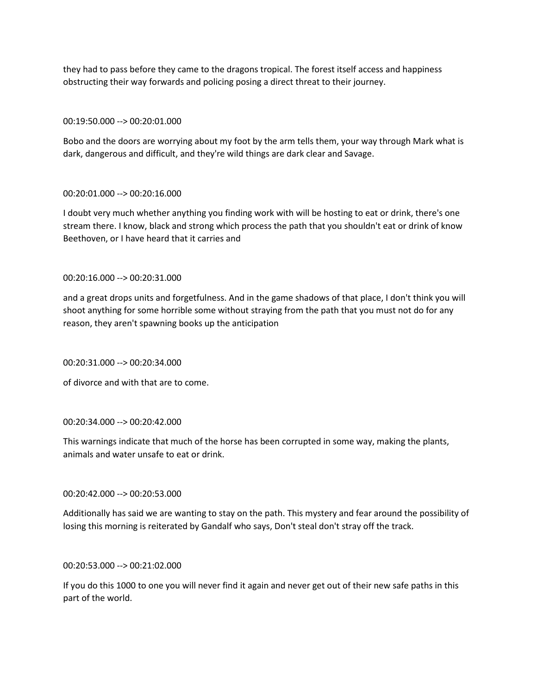they had to pass before they came to the dragons tropical. The forest itself access and happiness obstructing their way forwards and policing posing a direct threat to their journey.

## 00:19:50.000 --> 00:20:01.000

Bobo and the doors are worrying about my foot by the arm tells them, your way through Mark what is dark, dangerous and difficult, and they're wild things are dark clear and Savage.

# 00:20:01.000 --> 00:20:16.000

I doubt very much whether anything you finding work with will be hosting to eat or drink, there's one stream there. I know, black and strong which process the path that you shouldn't eat or drink of know Beethoven, or I have heard that it carries and

## 00:20:16.000 --> 00:20:31.000

and a great drops units and forgetfulness. And in the game shadows of that place, I don't think you will shoot anything for some horrible some without straying from the path that you must not do for any reason, they aren't spawning books up the anticipation

### 00:20:31.000 --> 00:20:34.000

of divorce and with that are to come.

### 00:20:34.000 --> 00:20:42.000

This warnings indicate that much of the horse has been corrupted in some way, making the plants, animals and water unsafe to eat or drink.

### 00:20:42.000 --> 00:20:53.000

Additionally has said we are wanting to stay on the path. This mystery and fear around the possibility of losing this morning is reiterated by Gandalf who says, Don't steal don't stray off the track.

### 00:20:53.000 --> 00:21:02.000

If you do this 1000 to one you will never find it again and never get out of their new safe paths in this part of the world.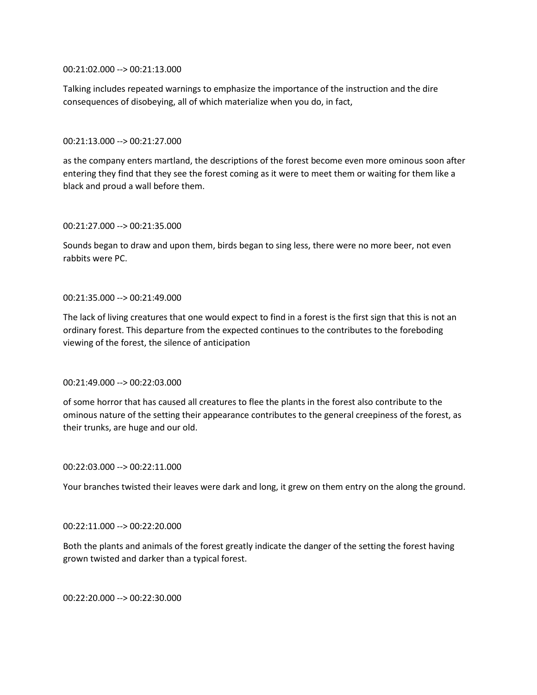00:21:02.000 --> 00:21:13.000

Talking includes repeated warnings to emphasize the importance of the instruction and the dire consequences of disobeying, all of which materialize when you do, in fact,

### 00:21:13.000 --> 00:21:27.000

as the company enters martland, the descriptions of the forest become even more ominous soon after entering they find that they see the forest coming as it were to meet them or waiting for them like a black and proud a wall before them.

#### 00:21:27.000 --> 00:21:35.000

Sounds began to draw and upon them, birds began to sing less, there were no more beer, not even rabbits were PC.

### 00:21:35.000 --> 00:21:49.000

The lack of living creatures that one would expect to find in a forest is the first sign that this is not an ordinary forest. This departure from the expected continues to the contributes to the foreboding viewing of the forest, the silence of anticipation

### 00:21:49.000 --> 00:22:03.000

of some horror that has caused all creatures to flee the plants in the forest also contribute to the ominous nature of the setting their appearance contributes to the general creepiness of the forest, as their trunks, are huge and our old.

#### 00:22:03.000 --> 00:22:11.000

Your branches twisted their leaves were dark and long, it grew on them entry on the along the ground.

### 00:22:11.000 --> 00:22:20.000

Both the plants and animals of the forest greatly indicate the danger of the setting the forest having grown twisted and darker than a typical forest.

00:22:20.000 --> 00:22:30.000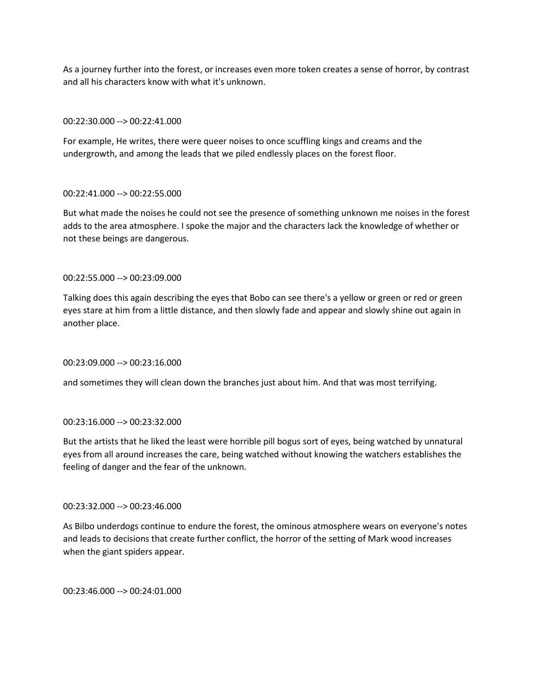As a journey further into the forest, or increases even more token creates a sense of horror, by contrast and all his characters know with what it's unknown.

## 00:22:30.000 --> 00:22:41.000

For example, He writes, there were queer noises to once scuffling kings and creams and the undergrowth, and among the leads that we piled endlessly places on the forest floor.

## 00:22:41.000 --> 00:22:55.000

But what made the noises he could not see the presence of something unknown me noises in the forest adds to the area atmosphere. I spoke the major and the characters lack the knowledge of whether or not these beings are dangerous.

## 00:22:55.000 --> 00:23:09.000

Talking does this again describing the eyes that Bobo can see there's a yellow or green or red or green eyes stare at him from a little distance, and then slowly fade and appear and slowly shine out again in another place.

### 00:23:09.000 --> 00:23:16.000

and sometimes they will clean down the branches just about him. And that was most terrifying.

### 00:23:16.000 --> 00:23:32.000

But the artists that he liked the least were horrible pill bogus sort of eyes, being watched by unnatural eyes from all around increases the care, being watched without knowing the watchers establishes the feeling of danger and the fear of the unknown.

## 00:23:32.000 --> 00:23:46.000

As Bilbo underdogs continue to endure the forest, the ominous atmosphere wears on everyone's notes and leads to decisions that create further conflict, the horror of the setting of Mark wood increases when the giant spiders appear.

00:23:46.000 --> 00:24:01.000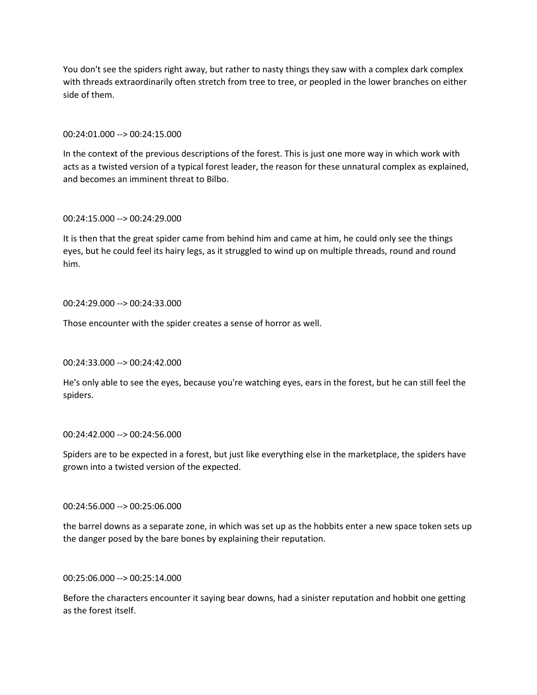You don't see the spiders right away, but rather to nasty things they saw with a complex dark complex with threads extraordinarily often stretch from tree to tree, or peopled in the lower branches on either side of them.

## 00:24:01.000 --> 00:24:15.000

In the context of the previous descriptions of the forest. This is just one more way in which work with acts as a twisted version of a typical forest leader, the reason for these unnatural complex as explained, and becomes an imminent threat to Bilbo.

## 00:24:15.000 --> 00:24:29.000

It is then that the great spider came from behind him and came at him, he could only see the things eyes, but he could feel its hairy legs, as it struggled to wind up on multiple threads, round and round him.

## 00:24:29.000 --> 00:24:33.000

Those encounter with the spider creates a sense of horror as well.

# 00:24:33.000 --> 00:24:42.000

He's only able to see the eyes, because you're watching eyes, ears in the forest, but he can still feel the spiders.

# 00:24:42.000 --> 00:24:56.000

Spiders are to be expected in a forest, but just like everything else in the marketplace, the spiders have grown into a twisted version of the expected.

## 00:24:56.000 --> 00:25:06.000

the barrel downs as a separate zone, in which was set up as the hobbits enter a new space token sets up the danger posed by the bare bones by explaining their reputation.

### 00:25:06.000 --> 00:25:14.000

Before the characters encounter it saying bear downs, had a sinister reputation and hobbit one getting as the forest itself.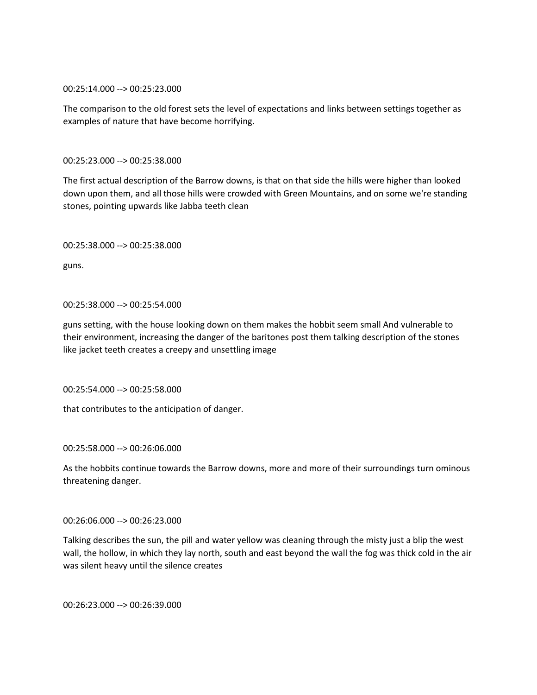00:25:14.000 --> 00:25:23.000

The comparison to the old forest sets the level of expectations and links between settings together as examples of nature that have become horrifying.

00:25:23.000 --> 00:25:38.000

The first actual description of the Barrow downs, is that on that side the hills were higher than looked down upon them, and all those hills were crowded with Green Mountains, and on some we're standing stones, pointing upwards like Jabba teeth clean

00:25:38.000 --> 00:25:38.000

guns.

## 00:25:38.000 --> 00:25:54.000

guns setting, with the house looking down on them makes the hobbit seem small And vulnerable to their environment, increasing the danger of the baritones post them talking description of the stones like jacket teeth creates a creepy and unsettling image

00:25:54.000 --> 00:25:58.000

that contributes to the anticipation of danger.

00:25:58.000 --> 00:26:06.000

As the hobbits continue towards the Barrow downs, more and more of their surroundings turn ominous threatening danger.

# 00:26:06.000 --> 00:26:23.000

Talking describes the sun, the pill and water yellow was cleaning through the misty just a blip the west wall, the hollow, in which they lay north, south and east beyond the wall the fog was thick cold in the air was silent heavy until the silence creates

00:26:23.000 --> 00:26:39.000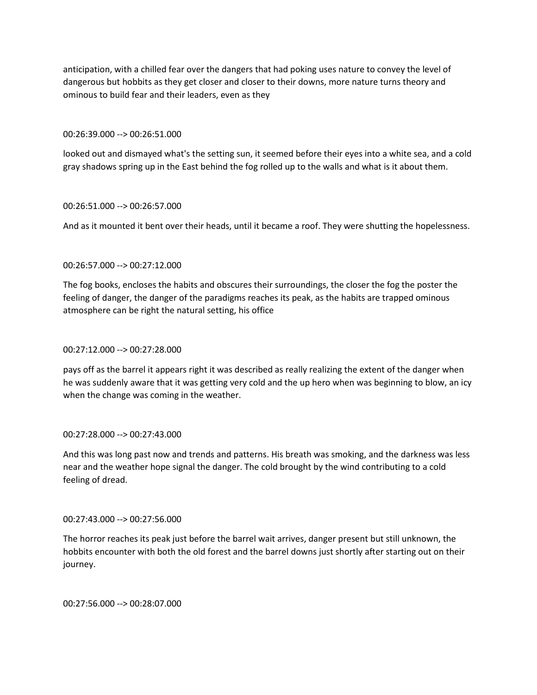anticipation, with a chilled fear over the dangers that had poking uses nature to convey the level of dangerous but hobbits as they get closer and closer to their downs, more nature turns theory and ominous to build fear and their leaders, even as they

### 00:26:39.000 --> 00:26:51.000

looked out and dismayed what's the setting sun, it seemed before their eyes into a white sea, and a cold gray shadows spring up in the East behind the fog rolled up to the walls and what is it about them.

## 00:26:51.000 --> 00:26:57.000

And as it mounted it bent over their heads, until it became a roof. They were shutting the hopelessness.

# 00:26:57.000 --> 00:27:12.000

The fog books, encloses the habits and obscures their surroundings, the closer the fog the poster the feeling of danger, the danger of the paradigms reaches its peak, as the habits are trapped ominous atmosphere can be right the natural setting, his office

# 00:27:12.000 --> 00:27:28.000

pays off as the barrel it appears right it was described as really realizing the extent of the danger when he was suddenly aware that it was getting very cold and the up hero when was beginning to blow, an icy when the change was coming in the weather.

# 00:27:28.000 --> 00:27:43.000

And this was long past now and trends and patterns. His breath was smoking, and the darkness was less near and the weather hope signal the danger. The cold brought by the wind contributing to a cold feeling of dread.

# 00:27:43.000 --> 00:27:56.000

The horror reaches its peak just before the barrel wait arrives, danger present but still unknown, the hobbits encounter with both the old forest and the barrel downs just shortly after starting out on their journey.

00:27:56.000 --> 00:28:07.000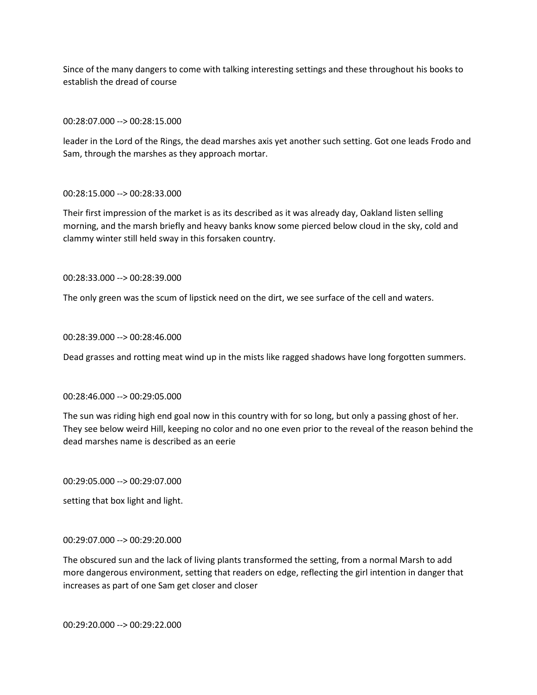Since of the many dangers to come with talking interesting settings and these throughout his books to establish the dread of course

00:28:07.000 --> 00:28:15.000

leader in the Lord of the Rings, the dead marshes axis yet another such setting. Got one leads Frodo and Sam, through the marshes as they approach mortar.

## 00:28:15.000 --> 00:28:33.000

Their first impression of the market is as its described as it was already day, Oakland listen selling morning, and the marsh briefly and heavy banks know some pierced below cloud in the sky, cold and clammy winter still held sway in this forsaken country.

00:28:33.000 --> 00:28:39.000

The only green was the scum of lipstick need on the dirt, we see surface of the cell and waters.

00:28:39.000 --> 00:28:46.000

Dead grasses and rotting meat wind up in the mists like ragged shadows have long forgotten summers.

### 00:28:46.000 --> 00:29:05.000

The sun was riding high end goal now in this country with for so long, but only a passing ghost of her. They see below weird Hill, keeping no color and no one even prior to the reveal of the reason behind the dead marshes name is described as an eerie

00:29:05.000 --> 00:29:07.000

setting that box light and light.

## 00:29:07.000 --> 00:29:20.000

The obscured sun and the lack of living plants transformed the setting, from a normal Marsh to add more dangerous environment, setting that readers on edge, reflecting the girl intention in danger that increases as part of one Sam get closer and closer

00:29:20.000 --> 00:29:22.000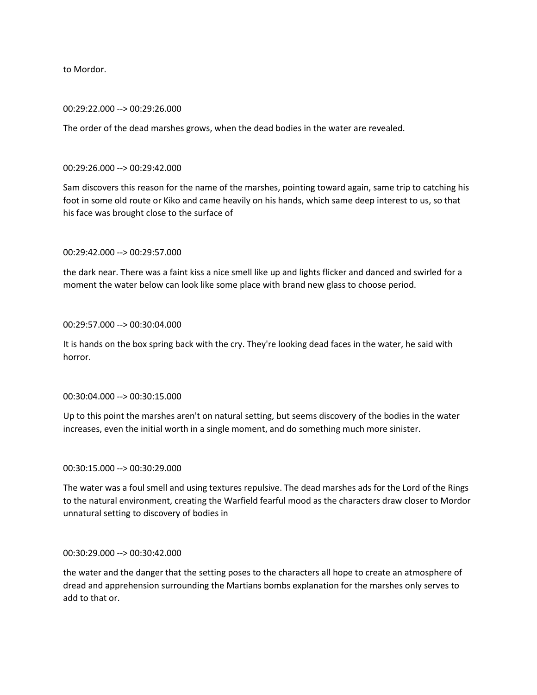to Mordor.

### 00:29:22.000 --> 00:29:26.000

The order of the dead marshes grows, when the dead bodies in the water are revealed.

#### 00:29:26.000 --> 00:29:42.000

Sam discovers this reason for the name of the marshes, pointing toward again, same trip to catching his foot in some old route or Kiko and came heavily on his hands, which same deep interest to us, so that his face was brought close to the surface of

#### 00:29:42.000 --> 00:29:57.000

the dark near. There was a faint kiss a nice smell like up and lights flicker and danced and swirled for a moment the water below can look like some place with brand new glass to choose period.

#### 00:29:57.000 --> 00:30:04.000

It is hands on the box spring back with the cry. They're looking dead faces in the water, he said with horror.

### 00:30:04.000 --> 00:30:15.000

Up to this point the marshes aren't on natural setting, but seems discovery of the bodies in the water increases, even the initial worth in a single moment, and do something much more sinister.

### 00:30:15.000 --> 00:30:29.000

The water was a foul smell and using textures repulsive. The dead marshes ads for the Lord of the Rings to the natural environment, creating the Warfield fearful mood as the characters draw closer to Mordor unnatural setting to discovery of bodies in

### 00:30:29.000 --> 00:30:42.000

the water and the danger that the setting poses to the characters all hope to create an atmosphere of dread and apprehension surrounding the Martians bombs explanation for the marshes only serves to add to that or.